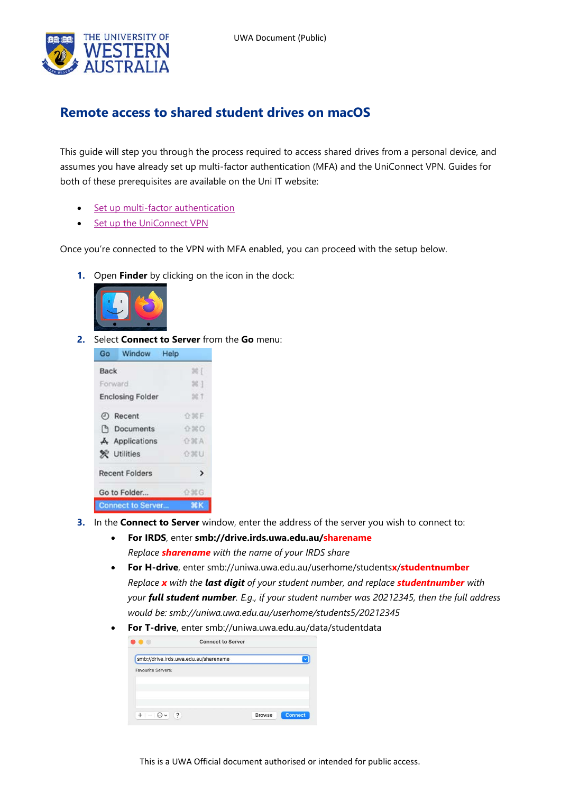

## **Remote access to shared student drives on macOS**

This guide will step you through the process required to access shared drives from a personal device, and assumes you have already set up multi-factor authentication (MFA) and the UniConnect VPN. Guides for both of these prerequisites are available on the Uni IT website:

- [Set up multi-factor authentication](https://www.it.uwa.edu.au/it-help/staff-all/mfa)
- [Set up the UniConnect VPN](https://www.it.uwa.edu.au/it-help/access/uniconnect)

Once you're connected to the VPN with MFA enabled, you can proceed with the setup below.

**1.** Open **Finder** by clicking on the icon in the dock:



**2.** Select **Connect to Server** from the **Go** menu:



- **3.** In the **Connect to Server** window, enter the address of the server you wish to connect to:
	- **For IRDS**, enter **smb://drive.irds.uwa.edu.au/sharename** *Replace sharename with the name of your IRDS share*
	- **For H-drive**, enter smb://uniwa.uwa.edu.au/userhome/students**x**/**studentnumber** *Replace x with the last digit of your student number, and replace studentnumber with your full student number. E.g., if your student number was 20212345, then the full address would be: smb://uniwa.uwa.edu.au/userhome/students5/20212345*
	- **For T-drive**, enter smb://uniwa.uwa.edu.au/data/studentdata

| smb://drive.irds.uwa.edu.au/sharename |  |  |
|---------------------------------------|--|--|
| <b>Favourite Servers:</b>             |  |  |
|                                       |  |  |
|                                       |  |  |
|                                       |  |  |
|                                       |  |  |